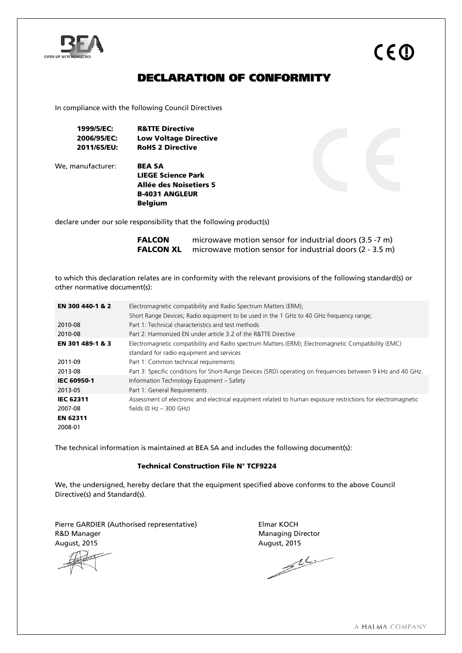

# DECLARATION OF CONFORMITY

In compliance with the following Council Directives

1999/5/EC: R&TTE Directive 2006/95/EC: Low Voltage Directive 2011/65/EU: RoHS 2 Directive

We, manufacturer: **BEA SA** 

LIEGE Science Park Allée des Noisetiers 5 B-4031 ANGLEUR Belgium

declare under our sole responsibility that the following product(s)

**FALCON** microwave motion sensor for industrial doors (3.5 -7 m) FALCON XL microwave motion sensor for industrial doors (2 - 3.5 m)

to which this declaration relates are in conformity with the relevant provisions of the following standard(s) or other normative document(s):

| EN 300 440-1 & 2                                                                                                        | Electromagnetic compatibility and Radio Spectrum Matters (ERM);                                              |  |  |  |
|-------------------------------------------------------------------------------------------------------------------------|--------------------------------------------------------------------------------------------------------------|--|--|--|
|                                                                                                                         | Short Range Devices; Radio equipment to be used in the 1 GHz to 40 GHz frequency range;                      |  |  |  |
| 2010-08                                                                                                                 | Part 1: Technical characteristics and test methods                                                           |  |  |  |
| 2010-08                                                                                                                 | Part 2: Harmonized EN under article 3.2 of the R&TTE Directive                                               |  |  |  |
| Electromagnetic compatibility and Radio spectrum Matters (ERM); Electromagnetic Compatibility (EMC)<br>EN 301 489-1 & 3 |                                                                                                              |  |  |  |
|                                                                                                                         | standard for radio equipment and services                                                                    |  |  |  |
| 2011-09                                                                                                                 | Part 1: Common technical requirements                                                                        |  |  |  |
| 2013-08                                                                                                                 | Part 3: Specific conditions for Short-Range Devices (SRD) operating on frequencies between 9 kHz and 40 GHz. |  |  |  |
| <b>IEC 60950-1</b>                                                                                                      | Information Technology Equipment - Safety                                                                    |  |  |  |
| 2013-05                                                                                                                 | Part 1: General Requirements                                                                                 |  |  |  |
| <b>IEC 62311</b>                                                                                                        | Assessment of electronic and electrical equipment related to human exposure restrictions for electromagnetic |  |  |  |
| 2007-08                                                                                                                 | fields (0 Hz $-$ 300 GHz)                                                                                    |  |  |  |
| <b>EN 62311</b>                                                                                                         |                                                                                                              |  |  |  |
| 2008-01                                                                                                                 |                                                                                                              |  |  |  |

The technical information is maintained at BEA SA and includes the following document(s):

#### Technical Construction File N° TCF9224

We, the undersigned, hereby declare that the equipment specified above conforms to the above Council Directive(s) and Standard(s).

Pierre GARDIER (Authorised representative) Fierre GARDIER (Authorised representative) R&D Manager Managing Director

August, 2015 August, 2015